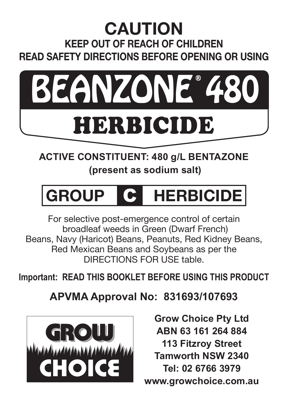# **CAUTION KEEP OUT OF REACH OF CHILDREN READ SAFETY DIRECTIONS BEFORE OPENING OR USING**



# **ACTIVE CONSTITUENT: 480 g/L BENTAZONE (present as sodium salt)**

# **GROUP** C **HERBICIDE**

For selective post-emergence control of certain broadleaf weeds in Green (Dwarf French) Beans, Navy (Haricot) Beans, Peanuts, Red Kidney Beans, Red Mexican Beans and Soybeans as per the DIRECTIONS FOR USE table.

**Important: Read thIs booklet befoRe usIng thIs pRoduct**

**APVMA Approval No: 831693/107693**



**Grow Choice Pty Ltd ABN 63 161 264 884 113 Fitzroy Street Tamworth NSW 2340 Tel: 02 6766 3979 www.growchoice.com.au**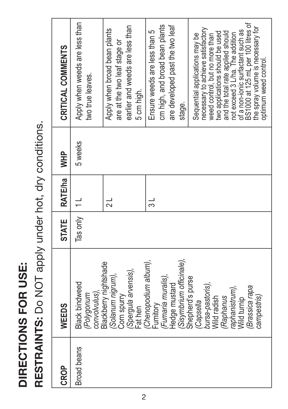**DIRECTIONS FOR USE:**  DIRECTIONS FOR USE:

RESTRAINTS: Do NOT apply under hot, dry conditions. **RESTRAINTS:** Do NOT apply under hot, dry conditions.

| <b>CROP</b>        | WEEDS                                                                                                                                       | <b>STATE</b> | RATE/ha  | ₩P      | CRITICAL COMMENTS                                                                                                                                                                                                                                                                                                                                         |
|--------------------|---------------------------------------------------------------------------------------------------------------------------------------------|--------------|----------|---------|-----------------------------------------------------------------------------------------------------------------------------------------------------------------------------------------------------------------------------------------------------------------------------------------------------------------------------------------------------------|
| <b>Broad beans</b> | <b>Black bindweed</b><br>convolvulus)<br>Polygonum                                                                                          | Tas only     | $\equiv$ | 5 weeks | Apply when weeds are less than<br>two true leaves.                                                                                                                                                                                                                                                                                                        |
|                    | Blackberry nightshade<br>Spergula arvensis),<br>Solanum nigrum),<br>Com spurry<br>Fathen                                                    |              |          |         | earlier and weeds are less than<br>Apply when broad bean plants<br>are at the two leaf stage or<br>5 cm high.                                                                                                                                                                                                                                             |
|                    | Chenopodium album),<br>Sisymbrium officinale),<br>Fumaria muralis),<br>Hedge mustard<br>Fumitory                                            |              |          |         | cm high, and broad bean plants<br>are developed past the two leaf<br>Ensure weeds are less than 5<br>stage.                                                                                                                                                                                                                                               |
|                    | Shepherd's purse<br>bursa-pastoris),<br>Brassica rapa<br>aphanistrum),<br>campestris)<br>Wild radish<br>Raphanus<br>Wild turnip<br>Capsella |              |          |         | BS1000 at 125 mL per 100 litres of<br>the spray volume is necessary for<br>necessary to achieve satisfactory<br>of a non-ionic surfactant such as<br>two applications should be used<br>and the total rate applied should<br>not exceed 3 L/ha. The addition<br>Sequential applications may be<br>weed control, but no more than<br>optimum weed control. |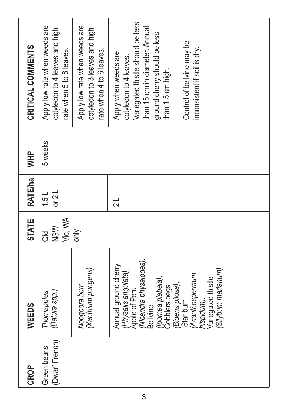| <b>CROP</b>                   | WEEDS                                                                                                                                                                                                                                                       | <b>STATE</b>           | <b>RATE/ha</b>  | <b>WHP</b> | CRITICAL COMMENTS                                                                                                                                                                                                                        |
|-------------------------------|-------------------------------------------------------------------------------------------------------------------------------------------------------------------------------------------------------------------------------------------------------------|------------------------|-----------------|------------|------------------------------------------------------------------------------------------------------------------------------------------------------------------------------------------------------------------------------------------|
| (Dwarf French)<br>Green beans | (Datura spp.)<br>Thornapples                                                                                                                                                                                                                                | NSW,<br>Vic, WA<br>ad. | or $2L$<br>1.5L | 5 weeks    | Apply low rate when weeds are<br>cotyledon to 4 leaves and high<br>ate when 5 to 8 leaves.                                                                                                                                               |
|                               | (Xanthium pungens)<br>Noogoora burr                                                                                                                                                                                                                         | $\frac{y}{\sin x}$     |                 |            | Apply low rate when weeds are<br>cotyledon to 3 leaves and high<br>rate when 4 to 6 leaves.                                                                                                                                              |
|                               | Apple of Peru<br>(Nicandra physalodes),<br>Annual ground cherry<br>Silybum marianum)<br>Physalis angulata),<br>Acanthospermum<br>(Ipomea plebeia),<br>hispidum),<br>Variegated thistle<br>Cobblers pegs<br>(Bidens pilosa),<br>Star burr<br><b>Bellvine</b> |                        | $\frac{1}{2}$   |            | Variegated thistle should be less<br>than 15 cm in diameter. Annual<br>ground cherry should be less<br>Control of belivine may be<br>inconsistent if soil is dry.<br>Apply when weeds are<br>cotyledon to 4 leaves.<br>than 1.5 cm high. |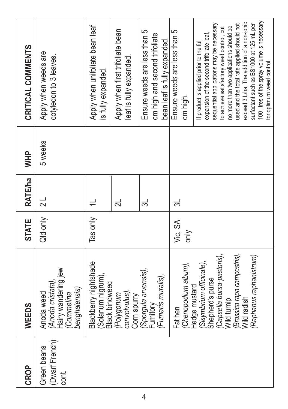| CRITICAL COMMENTS | Apply when weeds are<br>cotyledon to 3 leaves.                                       | Apply when unifoliate bean leaf<br>is fully expanded.               | Apply when first trifoliate bean<br>leaf is fully expanded. | Ensure weeds are less than 5<br>cm high and second trifoliate<br>bean leaf is fully expanded. | Ensure weeds are less than 5<br>cm high. | 100 litres of the spray volume is necessary<br>exceed 3 L/ha. The addition of a non-ionic<br>sequential applications may be necessary<br>used and the total rate applied should not<br>surfactant such as BS1000 at 125 mL per<br>no more than two applications should be<br>to achieve satisfactory weed control, but<br>expansion of the second trifoliate leaf,<br>If product is applied prior to the full<br>for optimum weed control. |
|-------------------|--------------------------------------------------------------------------------------|---------------------------------------------------------------------|-------------------------------------------------------------|-----------------------------------------------------------------------------------------------|------------------------------------------|--------------------------------------------------------------------------------------------------------------------------------------------------------------------------------------------------------------------------------------------------------------------------------------------------------------------------------------------------------------------------------------------------------------------------------------------|
| <b>HHM</b>        | 5 weeks                                                                              |                                                                     |                                                             |                                                                                               |                                          |                                                                                                                                                                                                                                                                                                                                                                                                                                            |
| <b>RATE/ha</b>    | $\frac{1}{2}$                                                                        |                                                                     | ನ                                                           | ಸ                                                                                             | ಸ                                        |                                                                                                                                                                                                                                                                                                                                                                                                                                            |
| <b>STATE</b>      | Qld only                                                                             | Tas only                                                            |                                                             |                                                                                               | Vic, SA<br>only                          |                                                                                                                                                                                                                                                                                                                                                                                                                                            |
| WEEDS             | Hairy wandering jew<br>(Anoda cristata).<br>benghalensis)<br>Anoda weed<br>Commelina | Blackberry nightshade<br>(Solanum nigrum),<br><b>Black bindweed</b> | (Polygonum<br>convolvulus),<br>Corn spurry                  | (Spergula arvensis),<br>(Fumaris muralis),<br>Fumitory                                        | (Chenopodium album),<br>Fat hen          | (Raphanus raphanistrum)<br>(Capsella bursa-pastoris),<br>Brassica rapa campestris)<br>(Sisymbrium officinale),<br>Shepherd's purse<br>Hedge mustard<br><b>Nild</b> radish<br>Wild turnip                                                                                                                                                                                                                                                   |
| <b>CROP</b>       | (Dwarf French)<br>Green beans<br>cont.                                               |                                                                     |                                                             |                                                                                               |                                          |                                                                                                                                                                                                                                                                                                                                                                                                                                            |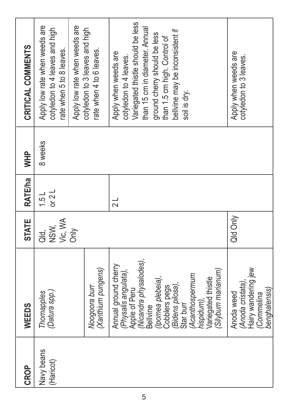| CROP                    | WEEDS                                                                                                                                                                                                                                                             | <b>STATE</b>               | <b>RATE/ha</b>  | <b>HHM</b> | CRITICAL COMMENTS                                                                                                                                                                                                                        |
|-------------------------|-------------------------------------------------------------------------------------------------------------------------------------------------------------------------------------------------------------------------------------------------------------------|----------------------------|-----------------|------------|------------------------------------------------------------------------------------------------------------------------------------------------------------------------------------------------------------------------------------------|
| Navy beans<br>(Haricot) | (Datura spp.)<br>Thornapples                                                                                                                                                                                                                                      | NSW,<br>Vic, WA<br>a.<br>T | or $2L$<br>1.5L | 8 weeks    | Apply low rate when weeds are<br>cotyledon to 4 leaves and high<br>rate when 5 to 8 leaves.                                                                                                                                              |
|                         | (Xanthium pungens)<br>Noogoora burr                                                                                                                                                                                                                               | Ōпly                       |                 |            | Apply low rate when weeds are<br>cotyledon to 3 leaves and high<br>rate when 4 to 6 leaves.                                                                                                                                              |
|                         | Nicandra physalodes),<br>Annual ground cherry<br>(Silybum marianum<br>Physalis angulata),<br>Acanthospermum<br>(Ipomea plebeia),<br><b>/ariegated thistle</b><br>(Bidens pilosa),<br>Cobblers pegs<br>Apple of Peru<br>hispidum),<br><b>Bellvine</b><br>Star burr |                            | $\frac{1}{2}$   |            | variegated thistle should be less<br>than 15 cm in diameter. Annual<br>bellvine may be inconsistent if<br>ground cherry should be less<br>than 1.5 cm high. Control of<br>Apply when weeds are<br>cotyledon to 4 leaves.<br>soil is dry. |
|                         | Hairy wandering jew<br>Anoda cristata)<br>benghalensis)<br>Anoda weed<br>Commelina                                                                                                                                                                                | Qld Only                   |                 |            | Apply when weeds are<br>cotyledon to 3 leaves.                                                                                                                                                                                           |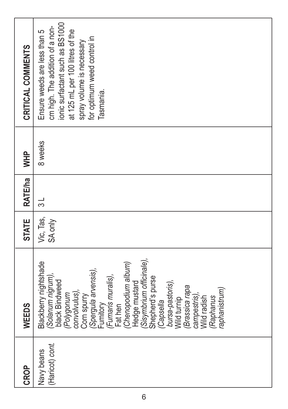| CRITICAL COMMENTS | ionic surfactant such as BS1000<br>cm high. The addition of a non-<br>at 125 mL per 100 litres of the<br>Ensure weeds are less than 5<br>for optimum weed control in<br>spray volume is necessary<br>Tasmania.                                                                                                                                                                             |
|-------------------|--------------------------------------------------------------------------------------------------------------------------------------------------------------------------------------------------------------------------------------------------------------------------------------------------------------------------------------------------------------------------------------------|
| <b>HHM</b>        | 8 weeks                                                                                                                                                                                                                                                                                                                                                                                    |
| <b>RATE/ha</b>    | $\frac{1}{3}$                                                                                                                                                                                                                                                                                                                                                                              |
| <b>STATE</b>      | Vic, Tas,<br>SA only                                                                                                                                                                                                                                                                                                                                                                       |
| WEEDS             | Sisymbrium officinale),<br>Blackberry nightshade<br>Chenopodium album)<br>Spergula arvensis),<br>(Solanum nigrum),<br>Fumaris muralis),<br>Shepherd's purse<br>black Bindweed<br>Hedge mustard<br>bursa-pastoris),<br>Brassica rapa<br>(annistrum<br>convolvulus)<br>campestris),<br>Polygonum<br>Corn spurry<br>Raphanus<br>Wild tumip<br>Wild radish<br>Capsella<br>Funnitory<br>Fat hen |
| CROP              | (Haricot) cont.<br>Navy beans                                                                                                                                                                                                                                                                                                                                                              |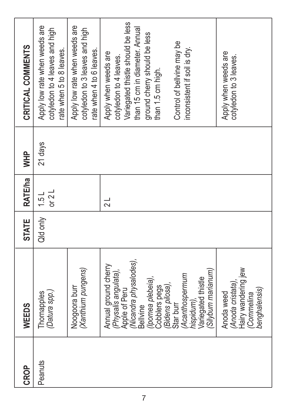| CROP    | WEEDS                                                                                                                                                                                                                                                                                                                     | <b>STATE</b> | <b>RATE/ha</b>          | <b>WHP</b> | CRITICAL COMMENTS                                                                                                                                                                                                                                                                          |
|---------|---------------------------------------------------------------------------------------------------------------------------------------------------------------------------------------------------------------------------------------------------------------------------------------------------------------------------|--------------|-------------------------|------------|--------------------------------------------------------------------------------------------------------------------------------------------------------------------------------------------------------------------------------------------------------------------------------------------|
| Peanuts | (Datura spp.)<br>Thornapples                                                                                                                                                                                                                                                                                              | Qld only     | or $2L$<br>1.5 L        | 21 days    | Apply low rate when weeds are<br>cotyledon to 4 leaves and high<br>rate when 5 to 8 leaves.                                                                                                                                                                                                |
|         | (Xanthium pungens<br>Noogoora burr                                                                                                                                                                                                                                                                                        |              |                         |            | Apply low rate when weeds are<br>cotyledon to 3 leaves and high<br>rate when 4 to 6 leaves.                                                                                                                                                                                                |
|         | Nicandra physalodes),<br>Annual ground cherry<br>Hairy wandering jew<br>Silybum marianum)<br>Physalis angulata),<br>Acanthospermum<br>(Ipomea plebeia),<br>hispidum),<br>Variegated thistle<br>Anoda cristata).<br>(Bidens pilosa),<br>Cobblers pegs<br>Apple of Peru<br>Anoda weed<br>Commelina<br>Star burr<br>Bellvine |              | $\overline{\mathsf{d}}$ |            | Variegated thistle should be less<br>than 15 cm in diameter. Annual<br>ground cherry should be less<br>Control of belivine may be<br>inconsistent if soil is dry.<br>Apply when weeds are<br>Apply when weeds are<br>cotyledon to 4 leaves.<br>cotyledon to 3 leaves.<br>than 1.5 cm high. |
|         | benghalensis)                                                                                                                                                                                                                                                                                                             |              |                         |            |                                                                                                                                                                                                                                                                                            |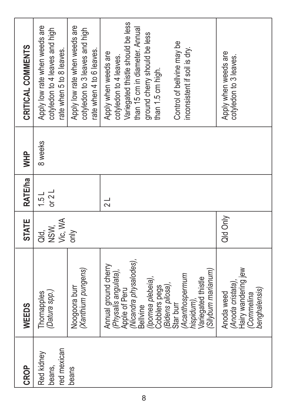| CROP                                | WEEDS                                                                                                                                                                                                                                                       | <b>STATE</b>               | <b>RATE/ha</b>           | <b>WHP</b> | CRITICAL COMMENTS                                                                                                                                                                                                                        |
|-------------------------------------|-------------------------------------------------------------------------------------------------------------------------------------------------------------------------------------------------------------------------------------------------------------|----------------------------|--------------------------|------------|------------------------------------------------------------------------------------------------------------------------------------------------------------------------------------------------------------------------------------------|
| red mexican<br>Red kidney<br>beans, | (Datura spp.)<br>Thornapples                                                                                                                                                                                                                                | Vic, WA<br>NSW,<br>ai<br>T | or $2L$<br>$\frac{1}{2}$ | 8 weeks    | Apply low rate when weeds are<br>cotyledon to 4 leaves and high<br>rate when 5 to 8 leaves.                                                                                                                                              |
| beans                               | (Xanthium pungens)<br>Noogoora burr                                                                                                                                                                                                                         | only                       |                          |            | Apply low rate when weeds are<br>cotyledon to 3 leaves and high<br>rate when 4 to 6 leaves.                                                                                                                                              |
|                                     | Àpple of Peru<br>(Nicandra physalodes),<br>Annual ground cherry<br>(Silybum marianum<br>Physalis angulata),<br>Acanthospermum<br>(Ipomea plebeia).<br>hispidum),<br>Variegated thistle<br>(Bidens pilosa),<br>Cobblers pegs<br>Star burr<br><b>Bellvine</b> |                            | $\frac{1}{2}$            |            | Variegated thistle should be less<br>than 15 cm in diameter. Annual<br>ground cherry should be less<br>Control of bellvine may be<br>inconsistent if soil is dry.<br>Apply when weeds are<br>cotyledon to 4 leaves.<br>than 1.5 cm high. |
|                                     | Hairy wandering jew<br>Anoda cristata).<br>benghalensis)<br>Anoda weed<br>Commelina                                                                                                                                                                         | Qid Only                   |                          |            | Apply when weeds are<br>cotyledon to 3 leaves.                                                                                                                                                                                           |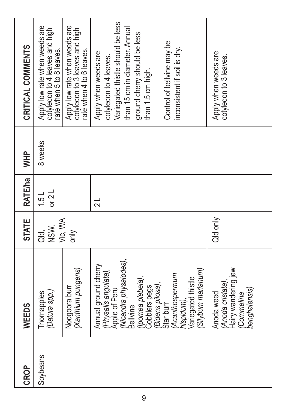| CRITICAL COMMENTS | Apply low rate when weeds are<br>cotyledon to 4 leaves and high<br>ate when 5 to 8 leaves. | Apply low rate when weeds are<br>cotyledon to 3 leaves and high<br>até when 4 to 6 leaves. | Variegated thistle should be less<br>than 15 cm in diameter. Annual<br>ground cherry should be less<br>Control of bellvine may be<br>inconsistent if soil is dry.<br>Apply when weeds are<br>cotyledon to 4 leaves.<br>than 1.5 cm high.                           | Apply when weeds are<br>cotyledon to 3 leaves.                                     |
|-------------------|--------------------------------------------------------------------------------------------|--------------------------------------------------------------------------------------------|--------------------------------------------------------------------------------------------------------------------------------------------------------------------------------------------------------------------------------------------------------------------|------------------------------------------------------------------------------------|
|                   |                                                                                            |                                                                                            |                                                                                                                                                                                                                                                                    |                                                                                    |
| <b>WHP</b>        | 8 weeks                                                                                    |                                                                                            |                                                                                                                                                                                                                                                                    |                                                                                    |
| <b>RATE/ha</b>    | or $2L$<br>$\frac{1}{2}$                                                                   |                                                                                            | $\frac{1}{2}$                                                                                                                                                                                                                                                      |                                                                                    |
| <b>STATE</b>      | NSW,<br>Vic, WA<br>ai<br>T                                                                 | $\frac{y}{x}$                                                                              |                                                                                                                                                                                                                                                                    | Qild only                                                                          |
| WEEDS             | (Datura spp.)<br>Thornapples                                                               | (Xanthium pungens)<br>Noogoora burr                                                        | Nicandra physalodes),<br>Annual ground cherry<br>(Silybum marianum<br><i>(Physalis angulata),</i><br>Apple of Peru<br>Acanthospermum<br>Variegated thistle<br>'Ipomea plebeia),<br>(Bidens pilosa),<br>Cobblers pegs<br>hispidum),<br>Star burr<br><b>Bellvine</b> | Hairy wandering jew<br>Anoda cristata)<br>benghalensis)<br>Anoda weed<br>Commelina |
| CROP              | Soybeans                                                                                   |                                                                                            |                                                                                                                                                                                                                                                                    |                                                                                    |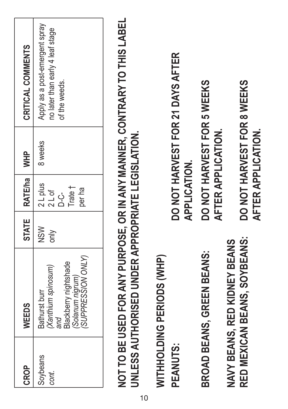| CROP              | WEEDS                                                                                                           |                                   | STATE RATE/ha                                       | 우<br>기  | CRITICAL COMMENTS                                                                   |
|-------------------|-----------------------------------------------------------------------------------------------------------------|-----------------------------------|-----------------------------------------------------|---------|-------------------------------------------------------------------------------------|
| Soybeans<br>cont. | <b>UPPRESSION ONLY</b><br>lackberry nightshade<br>Xanthium spinosum)<br>Solanum nigrum)<br>Bathurst burr<br>and | $\frac{8}{2}$<br>$\sum_{i=1}^{n}$ | 2 L plus<br>Trate †<br>per ha<br>$2$ L of<br>ረ<br>በ | 8 weeks | Apply as a post-emergent spray<br>no later than early 4 leaf stage<br>of the weeds. |

**not to be used foR anY puRpose, oR In anY ManneR, contRaRY to thIs label**  NOT TO BE USED FOR ANY PURPOSE, OR IN ANY MANNER, CONTRARY TO THIS LABEL JNLESS AUTHORISED UNDER APPROPRIATE LEGISLATION. **unless authoRIsed undeR appRopRIate legIslatIon.**

WITHROLDING PERIODS (WHP) **WIthholdIng peRIods (Whp)** PEANUTS: **bRoad beans, gReen beans: do not haRVest foR 5 Weeks**  BROAD BEANS. GREEN BEANS:

**Red MeXIcan beans, soYbeans: do not haRVest foR 8 Weeks**  RED MEXICAN BEANS, SOYBEANS: NAVY BEANS. RED KIDNEY BEANS **naVY beans, Red kIdneY beans**

DO NOT HARVEST FOR 21 DAYS AFTER **peanuts: do not haRVest foR 21 daYs afteR APPLICATION. applIcatIon.**

DO NOT HARVEST FOR 5 WEEKS AFTER APPLICATION.  **afteR applIcatIon.** DO NOT HARVEST FOR 8 WEEKS AFTER APPLICATION.  **afteR applIcatIon.**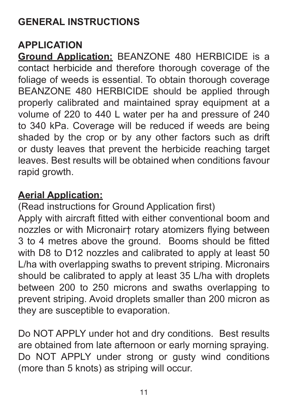# **GENERAL INSTRUCTIONS**

#### **APPLICATION**

**Ground Application:** BEANZONE 480 HERBICIDE is a contact herbicide and therefore thorough coverage of the foliage of weeds is essential. To obtain thorough coverage BEANZONE 480 HERBICIDE should be applied through properly calibrated and maintained spray equipment at a volume of 220 to 440 L water per ha and pressure of 240 to 340 kPa. Coverage will be reduced if weeds are being shaded by the crop or by any other factors such as drift or dusty leaves that prevent the herbicide reaching target leaves. Best results will be obtained when conditions favour rapid growth.

#### **Aerial Application:**

(Read instructions for Ground Application first) Apply with aircraft fitted with either conventional boom and nozzles or with Micronair† rotary atomizers flying between 3 to 4 metres above the ground. Booms should be fitted with D8 to D12 nozzles and calibrated to apply at least 50 L/ha with overlapping swaths to prevent striping. Micronairs should be calibrated to apply at least 35 L/ha with droplets between 200 to 250 microns and swaths overlapping to prevent striping. Avoid droplets smaller than 200 micron as they are susceptible to evaporation.

Do NOT APPLY under hot and dry conditions. Best results are obtained from late afternoon or early morning spraying. Do NOT APPLY under strong or gusty wind conditions (more than 5 knots) as striping will occur.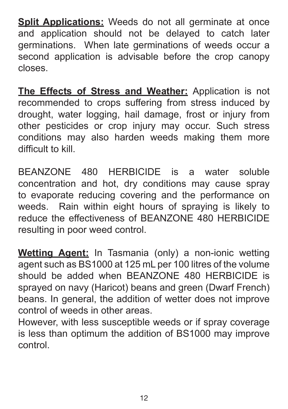**Split Applications:** Weeds do not all germinate at once and application should not be delayed to catch later germinations. When late germinations of weeds occur a second application is advisable before the crop canopy closes.

**The Effects of Stress and Weather:** Application is not recommended to crops suffering from stress induced by drought, water logging, hail damage, frost or injury from other pesticides or crop injury may occur. Such stress conditions may also harden weeds making them more difficult to kill.

BEANZONE 480 HERBICIDE is a water soluble concentration and hot, dry conditions may cause spray to evaporate reducing covering and the performance on weeds. Rain within eight hours of spraying is likely to reduce the effectiveness of BEANZONE 480 HERBICIDE resulting in poor weed control.

**Wetting Agent:** In Tasmania (only) a non-ionic wetting agent such as BS1000 at 125 mL per 100 litres of the volume should be added when BEANZONE 480 HERBICIDE is sprayed on navy (Haricot) beans and green (Dwarf French) beans. In general, the addition of wetter does not improve control of weeds in other areas.

However, with less susceptible weeds or if spray coverage is less than optimum the addition of BS1000 may improve control.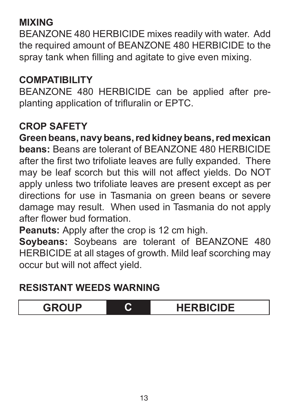### **MIXING**

BEANZONE 480 HERBICIDE mixes readily with water. Add the required amount of BEANZONE 480 HERBICIDE to the spray tank when filling and agitate to give even mixing.

# **COMPATIBILITY**

BEANZONE 480 HERBICIDE can be applied after preplanting application of trifluralin or EPTC.

#### **CROP SAFETY**

**Green beans, navy beans, red kidney beans, red mexican beans:** Beans are tolerant of BEANZONE 480 HERBICIDE after the first two trifoliate leaves are fully expanded. There may be leaf scorch but this will not affect yields. Do NOT apply unless two trifoliate leaves are present except as per directions for use in Tasmania on green beans or severe damage may result. When used in Tasmania do not apply after flower bud formation.

**Peanuts:** Apply after the crop is 12 cm high.

**Soybeans:** Soybeans are tolerant of BEANZONE 480 HERBICIDE at all stages of growth. Mild leaf scorching may occur but will not affect yield.

#### **RESISTANT WEEDS WARNING**

**GROUP C HERBICIDE**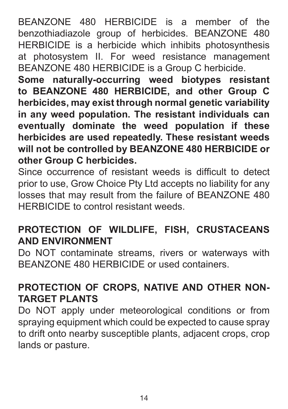BEANZONE 480 HERBICIDE is a member of the benzothiadiazole group of herbicides. BEANZONE 480 HERBICIDE is a herbicide which inhibits photosynthesis at photosystem II. For weed resistance management BEANZONE 480 HERBICIDE is a Group C herbicide.

**Some naturally-occurring weed biotypes resistant to BEANZONE 480 HERBICIDE, and other Group C herbicides, may exist through normal genetic variability in any weed population. The resistant individuals can eventually dominate the weed population if these herbicides are used repeatedly. These resistant weeds will not be controlled by BEANZONE 480 HERBICIDE or other Group C herbicides.**

Since occurrence of resistant weeds is difficult to detect prior to use, Grow Choice Pty Ltd accepts no liability for any losses that may result from the failure of BEANZONE 480 HERBICIDE to control resistant weeds.

#### **PROTECTION OF WILDLIFE, FISH, CRUSTACEANS AND ENVIRONMENT**

Do NOT contaminate streams, rivers or waterways with BEANZONE 480 HERBICIDE or used containers.

# **PROTECTION OF CROPS, NATIVE AND OTHER NON-TARGET PLANTS**

Do NOT apply under meteorological conditions or from spraying equipment which could be expected to cause spray to drift onto nearby susceptible plants, adjacent crops, crop lands or pasture.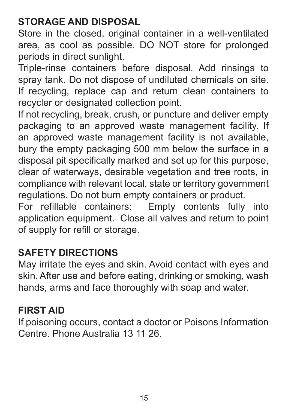# **STORAGE AND DISPOSAL**

Store in the closed, original container in a well-ventilated area, as cool as possible. DO NOT store for prolonged periods in direct sunlight.

Triple-rinse containers before disposal. Add rinsings to spray tank. Do not dispose of undiluted chemicals on site. If recycling, replace cap and return clean containers to recycler or designated collection point.

If not recycling, break, crush, or puncture and deliver empty packaging to an approved waste management facility. If an approved waste management facility is not available, bury the empty packaging 500 mm below the surface in a disposal pit specifically marked and set up for this purpose, clear of waterways, desirable vegetation and tree roots, in compliance with relevant local, state or territory government regulations. Do not burn empty containers or product.

For refillable containers: Empty contents fully into application equipment. Close all valves and return to point of supply for refill or storage.

#### **SAFETY DIRECTIONS**

May irritate the eyes and skin. Avoid contact with eyes and skin. After use and before eating, drinking or smoking, wash hands, arms and face thoroughly with soap and water.

#### **FIRST AID**

If poisoning occurs, contact a doctor or Poisons Information Centre. Phone Australia 13 11 26.